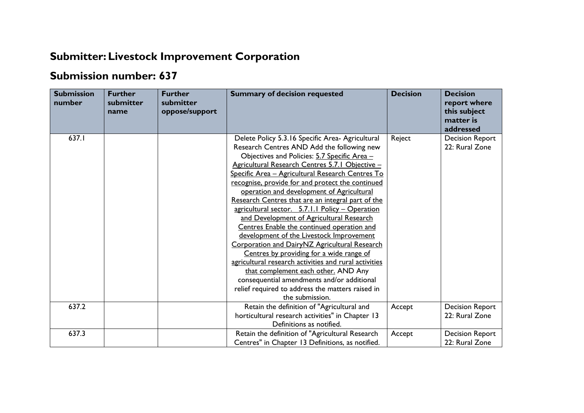## **Submitter: Livestock Improvement Corporation**

## **Submission number: 637**

| <b>Submission</b><br>number | <b>Further</b><br>submitter<br>name | <b>Further</b><br>submitter<br>oppose/support | <b>Summary of decision requested</b>                                                                                                                                                                                                                                                                                                                                                                                                                                                                                                                                                                                                                                                                                                                                                                                                                                                                                   | <b>Decision</b> | <b>Decision</b><br>report where<br>this subject<br>matter is<br>addressed |
|-----------------------------|-------------------------------------|-----------------------------------------------|------------------------------------------------------------------------------------------------------------------------------------------------------------------------------------------------------------------------------------------------------------------------------------------------------------------------------------------------------------------------------------------------------------------------------------------------------------------------------------------------------------------------------------------------------------------------------------------------------------------------------------------------------------------------------------------------------------------------------------------------------------------------------------------------------------------------------------------------------------------------------------------------------------------------|-----------------|---------------------------------------------------------------------------|
| 637.I                       |                                     |                                               | Delete Policy 5.3.16 Specific Area- Agricultural<br>Research Centres AND Add the following new<br>Objectives and Policies: 5.7 Specific Area -<br>Agricultural Research Centres 5.7.1 Objective -<br>Specific Area - Agricultural Research Centres To<br>recognise, provide for and protect the continued<br>operation and development of Agricultural<br>Research Centres that are an integral part of the<br>agricultural sector. 5.7.1.1 Policy - Operation<br>and Development of Agricultural Research<br>Centres Enable the continued operation and<br>development of the Livestock Improvement<br>Corporation and DairyNZ Agricultural Research<br>Centres by providing for a wide range of<br>agricultural research activities and rural activities<br>that complement each other. AND Any<br>consequential amendments and/or additional<br>relief required to address the matters raised in<br>the submission. | Reject          | <b>Decision Report</b><br>22: Rural Zone                                  |
| 637.2                       |                                     |                                               | Retain the definition of "Agricultural and<br>horticultural research activities" in Chapter 13<br>Definitions as notified.                                                                                                                                                                                                                                                                                                                                                                                                                                                                                                                                                                                                                                                                                                                                                                                             | Accept          | <b>Decision Report</b><br>22: Rural Zone                                  |
| 637.3                       |                                     |                                               | Retain the definition of "Agricultural Research<br>Centres" in Chapter 13 Definitions, as notified.                                                                                                                                                                                                                                                                                                                                                                                                                                                                                                                                                                                                                                                                                                                                                                                                                    | Accept          | <b>Decision Report</b><br>22: Rural Zone                                  |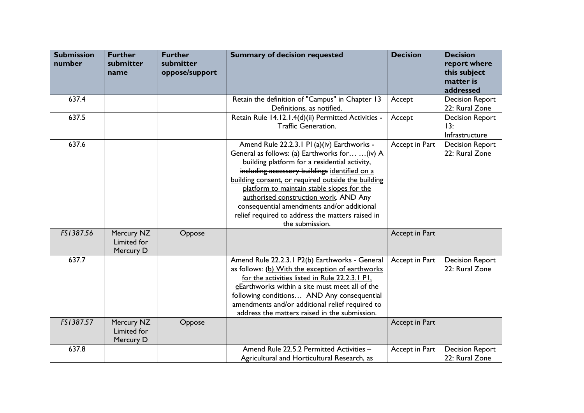| <b>Submission</b><br>number | <b>Further</b><br>submitter<br>name    | <b>Further</b><br>submitter<br>oppose/support | <b>Summary of decision requested</b>                                                                                                                                                                                                                                                                                                                                                                                                                             | <b>Decision</b> | <b>Decision</b><br>report where<br>this subject<br>matter is<br>addressed |
|-----------------------------|----------------------------------------|-----------------------------------------------|------------------------------------------------------------------------------------------------------------------------------------------------------------------------------------------------------------------------------------------------------------------------------------------------------------------------------------------------------------------------------------------------------------------------------------------------------------------|-----------------|---------------------------------------------------------------------------|
| 637.4                       |                                        |                                               | Retain the definition of "Campus" in Chapter 13<br>Definitions, as notified.                                                                                                                                                                                                                                                                                                                                                                                     | Accept          | <b>Decision Report</b><br>22: Rural Zone                                  |
| 637.5                       |                                        |                                               | Retain Rule 14.12.1.4(d)(ii) Permitted Activities -<br><b>Traffic Generation.</b>                                                                                                                                                                                                                                                                                                                                                                                | Accept          | <b>Decision Report</b><br>13:<br>Infrastructure                           |
| 637.6                       |                                        |                                               | Amend Rule 22.2.3.1 P1(a)(iv) Earthworks -<br>General as follows: (a) Earthworks for  (iv) A<br>building platform for a residential activity,<br>including accessory buildings identified on a<br>building consent, or required outside the building<br>platform to maintain stable slopes for the<br>authorised construction work. AND Any<br>consequential amendments and/or additional<br>relief required to address the matters raised in<br>the submission. | Accept in Part  | <b>Decision Report</b><br>22: Rural Zone                                  |
| FS1387.56                   | Mercury NZ<br>Limited for<br>Mercury D | Oppose                                        |                                                                                                                                                                                                                                                                                                                                                                                                                                                                  | Accept in Part  |                                                                           |
| 637.7                       |                                        |                                               | Amend Rule 22.2.3.1 P2(b) Earthworks - General<br>as follows: (b) With the exception of earthworks<br>for the activities listed in Rule 22.2.3.1 Pl.<br>eEarthworks within a site must meet all of the<br>following conditions AND Any consequential<br>amendments and/or additional relief required to<br>address the matters raised in the submission.                                                                                                         | Accept in Part  | <b>Decision Report</b><br>22: Rural Zone                                  |
| FS1387.57                   | Mercury NZ<br>Limited for<br>Mercury D | Oppose                                        |                                                                                                                                                                                                                                                                                                                                                                                                                                                                  | Accept in Part  |                                                                           |
| 637.8                       |                                        |                                               | Amend Rule 22.5.2 Permitted Activities -<br>Agricultural and Horticultural Research, as                                                                                                                                                                                                                                                                                                                                                                          | Accept in Part  | <b>Decision Report</b><br>22: Rural Zone                                  |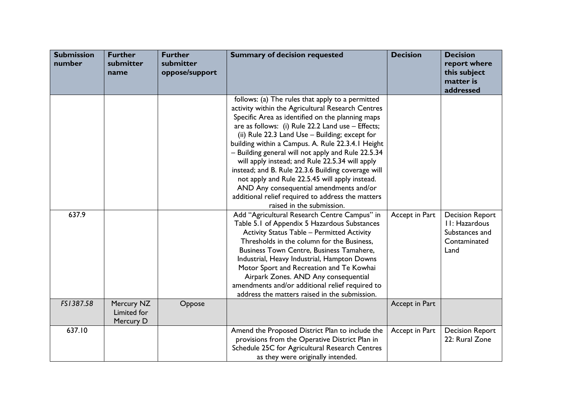| <b>Submission</b><br>number | <b>Further</b><br>submitter<br>name    | <b>Further</b><br>submitter<br>oppose/support | <b>Summary of decision requested</b>                                                                                                                                                                                                                                                                                                                                                                                                                                                                                                                                                                                                                                | <b>Decision</b> | <b>Decision</b><br>report where<br>this subject<br>matter is<br>addressed         |
|-----------------------------|----------------------------------------|-----------------------------------------------|---------------------------------------------------------------------------------------------------------------------------------------------------------------------------------------------------------------------------------------------------------------------------------------------------------------------------------------------------------------------------------------------------------------------------------------------------------------------------------------------------------------------------------------------------------------------------------------------------------------------------------------------------------------------|-----------------|-----------------------------------------------------------------------------------|
|                             |                                        |                                               | follows: (a) The rules that apply to a permitted<br>activity within the Agricultural Research Centres<br>Specific Area as identified on the planning maps<br>are as follows: (i) Rule 22.2 Land use - Effects;<br>(ii) Rule 22.3 Land Use - Building; except for<br>building within a Campus. A. Rule 22.3.4.1 Height<br>- Building general will not apply and Rule 22.5.34<br>will apply instead; and Rule 22.5.34 will apply<br>instead; and B. Rule 22.3.6 Building coverage will<br>not apply and Rule 22.5.45 will apply instead.<br>AND Any consequential amendments and/or<br>additional relief required to address the matters<br>raised in the submission. |                 |                                                                                   |
| 637.9                       |                                        |                                               | Add "Agricultural Research Centre Campus" in<br>Table 5.1 of Appendix 5 Hazardous Substances<br><b>Activity Status Table - Permitted Activity</b><br>Thresholds in the column for the Business,<br>Business Town Centre, Business Tamahere,<br>Industrial, Heavy Industrial, Hampton Downs<br>Motor Sport and Recreation and Te Kowhai<br>Airpark Zones. AND Any consequential<br>amendments and/or additional relief required to<br>address the matters raised in the submission.                                                                                                                                                                                  | Accept in Part  | <b>Decision Report</b><br>II: Hazardous<br>Substances and<br>Contaminated<br>Land |
| FS1387.58                   | Mercury NZ<br>Limited for<br>Mercury D | Oppose                                        |                                                                                                                                                                                                                                                                                                                                                                                                                                                                                                                                                                                                                                                                     | Accept in Part  |                                                                                   |
| 637.10                      |                                        |                                               | Amend the Proposed District Plan to include the<br>provisions from the Operative District Plan in<br>Schedule 25C for Agricultural Research Centres<br>as they were originally intended.                                                                                                                                                                                                                                                                                                                                                                                                                                                                            | Accept in Part  | <b>Decision Report</b><br>22: Rural Zone                                          |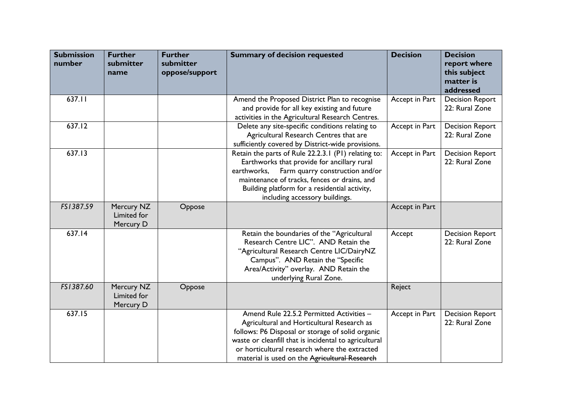| <b>Submission</b><br>number | <b>Further</b><br>submitter<br>name    | <b>Further</b><br>submitter<br>oppose/support | <b>Summary of decision requested</b>                                                                                                                                                                                                                                                                  | <b>Decision</b> | <b>Decision</b><br>report where<br>this subject<br>matter is<br>addressed |
|-----------------------------|----------------------------------------|-----------------------------------------------|-------------------------------------------------------------------------------------------------------------------------------------------------------------------------------------------------------------------------------------------------------------------------------------------------------|-----------------|---------------------------------------------------------------------------|
| 637.11                      |                                        |                                               | Amend the Proposed District Plan to recognise<br>and provide for all key existing and future<br>activities in the Agricultural Research Centres.                                                                                                                                                      | Accept in Part  | <b>Decision Report</b><br>22: Rural Zone                                  |
| 637.12                      |                                        |                                               | Delete any site-specific conditions relating to<br>Agricultural Research Centres that are<br>sufficiently covered by District-wide provisions.                                                                                                                                                        | Accept in Part  | <b>Decision Report</b><br>22: Rural Zone                                  |
| 637.13                      |                                        |                                               | Retain the parts of Rule 22.2.3.1 (P1) relating to:<br>Earthworks that provide for ancillary rural<br>Farm quarry construction and/or<br>earthworks,<br>maintenance of tracks, fences or drains, and<br>Building platform for a residential activity,<br>including accessory buildings.               | Accept in Part  | <b>Decision Report</b><br>22: Rural Zone                                  |
| FS1387.59                   | Mercury NZ<br>Limited for<br>Mercury D | Oppose                                        |                                                                                                                                                                                                                                                                                                       | Accept in Part  |                                                                           |
| 637.14                      |                                        |                                               | Retain the boundaries of the "Agricultural<br>Research Centre LIC". AND Retain the<br>"Agricultural Research Centre LIC/DairyNZ<br>Campus". AND Retain the "Specific<br>Area/Activity" overlay. AND Retain the<br>underlying Rural Zone.                                                              | Accept          | <b>Decision Report</b><br>22: Rural Zone                                  |
| FS1387.60                   | Mercury NZ<br>Limited for<br>Mercury D | Oppose                                        |                                                                                                                                                                                                                                                                                                       | Reject          |                                                                           |
| 637.15                      |                                        |                                               | Amend Rule 22.5.2 Permitted Activities -<br>Agricultural and Horticultural Research as<br>follows: P6 Disposal or storage of solid organic<br>waste or cleanfill that is incidental to agricultural<br>or horticultural research where the extracted<br>material is used on the Agricultural Research | Accept in Part  | <b>Decision Report</b><br>22: Rural Zone                                  |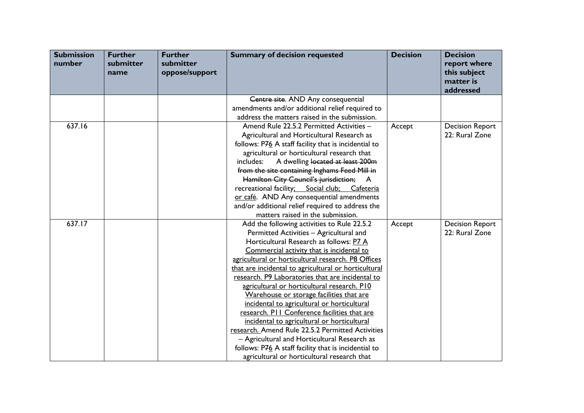| <b>Submission</b><br>number | <b>Further</b><br>submitter<br>name | <b>Further</b><br>submitter<br>oppose/support | <b>Summary of decision requested</b>                                                                | <b>Decision</b> | <b>Decision</b><br>report where<br>this subject<br>matter is<br>addressed |
|-----------------------------|-------------------------------------|-----------------------------------------------|-----------------------------------------------------------------------------------------------------|-----------------|---------------------------------------------------------------------------|
|                             |                                     |                                               | Centre site. AND Any consequential                                                                  |                 |                                                                           |
|                             |                                     |                                               | amendments and/or additional relief required to                                                     |                 |                                                                           |
|                             |                                     |                                               | address the matters raised in the submission.                                                       |                 |                                                                           |
| 637.16                      |                                     |                                               | Amend Rule 22.5.2 Permitted Activities -                                                            | Accept          | <b>Decision Report</b>                                                    |
|                             |                                     |                                               | Agricultural and Horticultural Research as                                                          |                 | 22: Rural Zone                                                            |
|                             |                                     |                                               | follows: P76 A staff facility that is incidential to                                                |                 |                                                                           |
|                             |                                     |                                               | agricultural or horticultural research that                                                         |                 |                                                                           |
|                             |                                     |                                               | A dwelling located at least 200m<br>includes:                                                       |                 |                                                                           |
|                             |                                     |                                               | from the site containing Inghams Feed Mill in                                                       |                 |                                                                           |
|                             |                                     |                                               | Hamilton City Council's jurisdiction; A                                                             |                 |                                                                           |
|                             |                                     |                                               | recreational facility; Social club; Cafeteria                                                       |                 |                                                                           |
|                             |                                     |                                               | or café. AND Any consequential amendments                                                           |                 |                                                                           |
|                             |                                     |                                               | and/or additional relief required to address the                                                    |                 |                                                                           |
|                             |                                     |                                               | matters raised in the submission.                                                                   |                 |                                                                           |
| 637.17                      |                                     |                                               | Add the following activities to Rule 22.5.2                                                         | Accept          | <b>Decision Report</b>                                                    |
|                             |                                     |                                               | Permitted Activities - Agricultural and                                                             |                 | 22: Rural Zone                                                            |
|                             |                                     |                                               | Horticultural Research as follows: P7 A                                                             |                 |                                                                           |
|                             |                                     |                                               | Commercial activity that is incidental to                                                           |                 |                                                                           |
|                             |                                     |                                               | agricultural or horticultural research. P8 Offices                                                  |                 |                                                                           |
|                             |                                     |                                               | that are incidental to agricultural or horticultural                                                |                 |                                                                           |
|                             |                                     |                                               | research. P9 Laboratories that are incidental to                                                    |                 |                                                                           |
|                             |                                     |                                               | agricultural or horticultural research. P10                                                         |                 |                                                                           |
|                             |                                     |                                               | Warehouse or storage facilities that are                                                            |                 |                                                                           |
|                             |                                     |                                               | incidental to agricultural or horticultural                                                         |                 |                                                                           |
|                             |                                     |                                               | research. PII Conference facilities that are                                                        |                 |                                                                           |
|                             |                                     |                                               | incidental to agricultural or horticultural<br>research. Amend Rule 22.5.2 Permitted Activities     |                 |                                                                           |
|                             |                                     |                                               |                                                                                                     |                 |                                                                           |
|                             |                                     |                                               | - Agricultural and Horticultural Research as                                                        |                 |                                                                           |
|                             |                                     |                                               | follows: P76 A staff facility that is incidential to<br>agricultural or horticultural research that |                 |                                                                           |
|                             |                                     |                                               |                                                                                                     |                 |                                                                           |